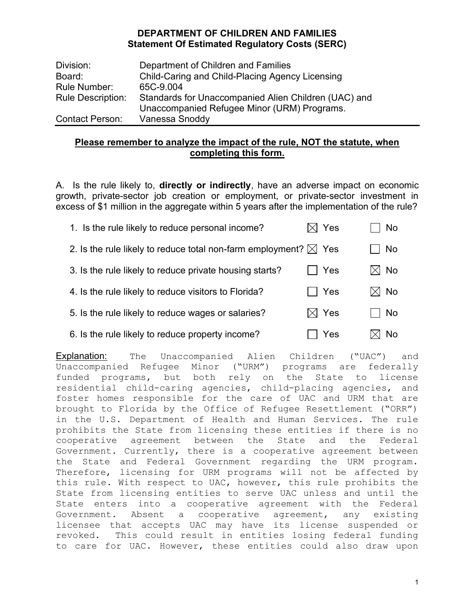| Division:                | Department of Children and Families                                                                 |
|--------------------------|-----------------------------------------------------------------------------------------------------|
| Board:                   | Child-Caring and Child-Placing Agency Licensing                                                     |
| Rule Number:             | 65C-9.004                                                                                           |
| <b>Rule Description:</b> | Standards for Unaccompanied Alien Children (UAC) and<br>Unaccompanied Refugee Minor (URM) Programs. |
| <b>Contact Person:</b>   | Vanessa Snoddy                                                                                      |

# Please remember to analyze the impact of the rule, NOT the statute, when completing this form.

A. Is the rule likely to, **directly or indirectly**, have an adverse impact on economic growth, private-sector job creation or employment, or private-sector investment in excess of \$1 million in the aggregate within 5 years after the implementation of the rule?

| 1. Is the rule likely to reduce personal income?                           | $\boxtimes$ Yes |     | No |
|----------------------------------------------------------------------------|-----------------|-----|----|
| 2. Is the rule likely to reduce total non-farm employment? $\boxtimes$ Yes |                 |     | No |
| 3. Is the rule likely to reduce private housing starts?                    | Yes             | IXI | No |
| 4. Is the rule likely to reduce visitors to Florida?                       | $\Box$ Yes      |     | No |
| 5. Is the rule likely to reduce wages or salaries?                         | $\boxtimes$ Yes |     | No |
| 6. Is the rule likely to reduce property income?                           | Yes             |     | No |

Explanation: The Unaccompanied Alien Children ("UAC") and Unaccompanied Refugee Minor ("URM") programs are federally funded programs, but both rely on the State to license residential child-caring agencies, child-placing agencies, and foster homes responsible for the care of UAC and URM that are brought to Florida by the Office of Refugee Resettlement ("ORR") in the U.S. Department of Health and Human Services. The rule prohibits the State from licensing these entities if there is no cooperative agreement between the State and the Federal Government. Currently, there is a cooperative agreement between the State and Federal Government regarding the URM program. Therefore, licensing for URM programs will not be affected by this rule. With respect to UAC, however, this rule prohibits the State from licensing entities to serve UAC unless and until the State enters into a cooperative agreement with the Federal Government. Absent a cooperative agreement, any existing licensee that accepts UAC may have its license suspended or revoked. This could result in entities losing federal funding to care for UAC. However, these entities could also draw upon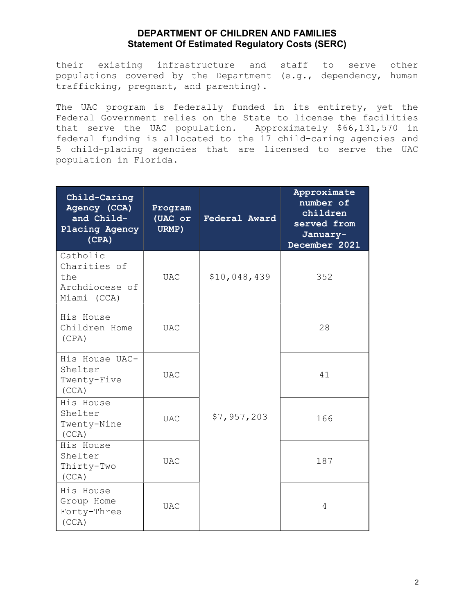their existing infrastructure and staff to serve other populations covered by the Department (e.g., dependency, human trafficking, pregnant, and parenting).

The UAC program is federally funded in its entirety, yet the Federal Government relies on the State to license the facilities that serve the UAC population. Approximately \$66,131,570 in federal funding is allocated to the 17 child-caring agencies and 5 child-placing agencies that are licensed to serve the UAC population in Florida.

| Child-Caring<br>Agency (CCA)<br>and Child-<br>Placing Agency<br>(CPA) | Program<br>(UAC or<br>URMP) | Federal Award | Approximate<br>number of<br>children<br>served from<br>January-<br>December 2021 |
|-----------------------------------------------------------------------|-----------------------------|---------------|----------------------------------------------------------------------------------|
| Catholic<br>Charities of<br>the<br>Archdiocese of<br>Miami (CCA)      | <b>UAC</b>                  | \$10,048,439  | 352                                                                              |
| His House<br>Children Home<br>(CPA)                                   | <b>UAC</b>                  |               | 28                                                                               |
| His House UAC-<br>Shelter<br>Twenty-Five<br>(CCA)                     | <b>UAC</b>                  |               | 41                                                                               |
| His House<br>Shelter<br>Twenty-Nine<br>(CCA)                          | <b>UAC</b>                  | \$7,957,203   | 166                                                                              |
| His House<br>Shelter<br>Thirty-Two<br>(CCA)                           | <b>UAC</b>                  |               | 187                                                                              |
| His House<br>Group Home<br>Forty-Three<br>(CCA)                       | <b>UAC</b>                  |               | 4                                                                                |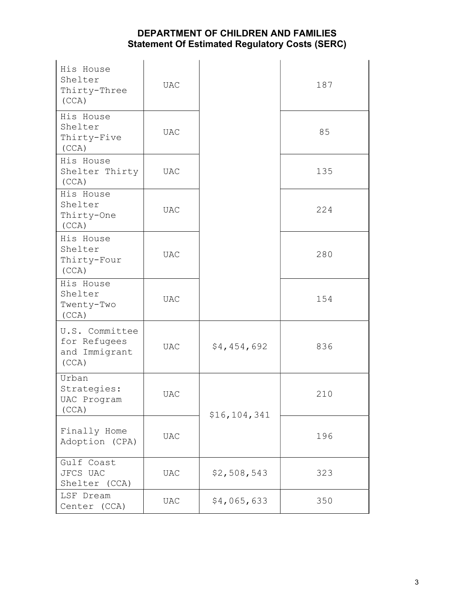| His House<br>Shelter<br>Thirty-Three<br>(CCA)            | <b>UAC</b>   |              | 187 |
|----------------------------------------------------------|--------------|--------------|-----|
| His House<br>Shelter<br>Thirty-Five<br>(CCA)             | <b>UAC</b>   |              | 85  |
| His House<br>Shelter Thirty<br>(CCA)                     | <b>UAC</b>   |              | 135 |
| His House<br>Shelter<br>Thirty-One<br>(CCA)              | <b>UAC</b>   |              | 224 |
| His House<br>Shelter<br>Thirty-Four<br>(CCA)             | <b>UAC</b>   |              | 280 |
| His House<br>Shelter<br>Twenty-Two<br>(CCA)              | <b>UAC</b>   |              | 154 |
| U.S. Committee<br>for Refugees<br>and Immigrant<br>(CCA) | <b>UAC</b>   | \$4,454,692  | 836 |
| Urban<br>Strategies:<br>UAC Program<br>(CCA)             | <b>UAC</b>   | \$16,104,341 | 210 |
| Finally Home<br>Adoption (CPA)                           | $_{\rm UAC}$ |              | 196 |
| Gulf Coast<br>JFCS UAC<br>Shelter (CCA)                  | <b>UAC</b>   | \$2,508,543  | 323 |
| LSF Dream<br>Center (CCA)                                | <b>UAC</b>   | \$4,065,633  | 350 |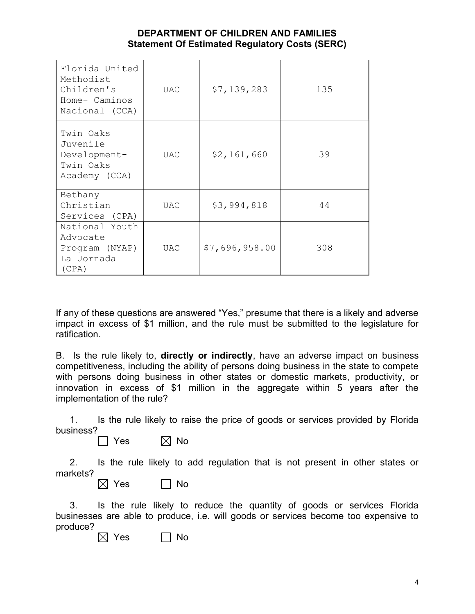| Florida United<br>Methodist<br>Children's<br>Home- Caminos<br>Nacional (CCA) | UAC | \$7,139,283    | 135 |
|------------------------------------------------------------------------------|-----|----------------|-----|
| Twin Oaks<br>Juvenile<br>Development-<br>Twin Oaks<br>Academy (CCA)          | UAC | \$2,161,660    | 39  |
| Bethany<br>Christian<br>Services (CPA)                                       | UAC | \$3,994,818    | 44  |
| National Youth<br>Advocate<br>Program (NYAP)<br>La Jornada<br>(CPA)          | UAC | \$7,696,958.00 | 308 |

If any of these questions are answered "Yes," presume that there is a likely and adverse impact in excess of \$1 million, and the rule must be submitted to the legislature for ratification.

B. Is the rule likely to, **directly or indirectly**, have an adverse impact on business competitiveness, including the ability of persons doing business in the state to compete with persons doing business in other states or domestic markets, productivity, or innovation in excess of \$1 million in the aggregate within 5 years after the implementation of the rule?

 1. Is the rule likely to raise the price of goods or services provided by Florida business?

 $\Box$  Yes  $\Box$  No

 2. Is the rule likely to add regulation that is not present in other states or markets?

 $\boxtimes$  Yes  $\Box$  No

 3. Is the rule likely to reduce the quantity of goods or services Florida businesses are able to produce, i.e. will goods or services become too expensive to produce?

 $\boxtimes$  Yes  $\Box$  No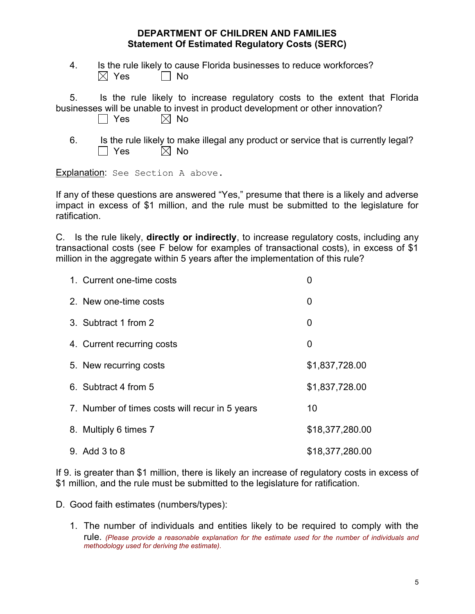4. Is the rule likely to cause Florida businesses to reduce workforces?  $\boxtimes$  Yes  $\qquad \Box$  No

 5. Is the rule likely to increase regulatory costs to the extent that Florida businesses will be unable to invest in product development or other innovation?  $\Box$  Yes  $\boxtimes$  No

- 
- 6. Is the rule likely to make illegal any product or service that is currently legal?  $\Box$  Yes  $\hskip10mm \boxtimes$  No

Explanation: See Section A above.

If any of these questions are answered "Yes," presume that there is a likely and adverse impact in excess of \$1 million, and the rule must be submitted to the legislature for ratification.

C. Is the rule likely, directly or indirectly, to increase regulatory costs, including any transactional costs (see F below for examples of transactional costs), in excess of \$1 million in the aggregate within 5 years after the implementation of this rule?

| 1. Current one-time costs                      | 0               |
|------------------------------------------------|-----------------|
| 2. New one-time costs                          | 0               |
| 3. Subtract 1 from 2                           | 0               |
| 4. Current recurring costs                     | 0               |
| 5. New recurring costs                         | \$1,837,728.00  |
| 6. Subtract 4 from 5                           | \$1,837,728.00  |
| 7. Number of times costs will recur in 5 years | 10              |
| 8. Multiply 6 times 7                          | \$18,377,280.00 |
| 9. Add 3 to 8                                  | \$18,377,280.00 |

If 9. is greater than \$1 million, there is likely an increase of regulatory costs in excess of \$1 million, and the rule must be submitted to the legislature for ratification.

- D. Good faith estimates (numbers/types):
	- 1. The number of individuals and entities likely to be required to comply with the rule. (Please provide a reasonable explanation for the estimate used for the number of individuals and methodology used for deriving the estimate).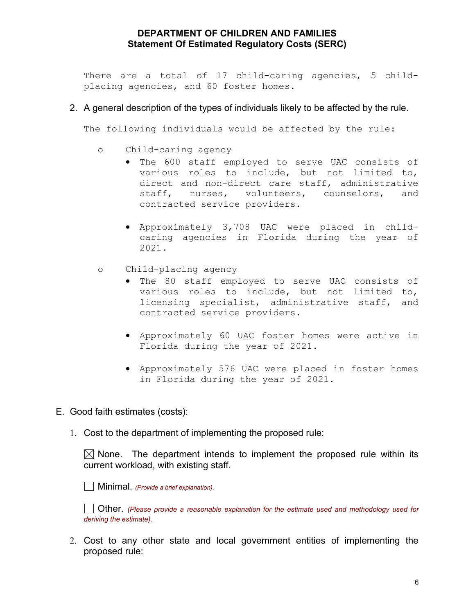There are a total of 17 child-caring agencies, 5 childplacing agencies, and 60 foster homes.

#### 2. A general description of the types of individuals likely to be affected by the rule.

The following individuals would be affected by the rule:

- o Child-caring agency
	- The 600 staff employed to serve UAC consists of various roles to include, but not limited to, direct and non-direct care staff, administrative staff, nurses, volunteers, counselors, and contracted service providers.
	- Approximately 3,708 UAC were placed in childcaring agencies in Florida during the year of 2021.
- o Child-placing agency
	- The 80 staff employed to serve UAC consists of various roles to include, but not limited to, licensing specialist, administrative staff, and contracted service providers.
	- Approximately 60 UAC foster homes were active in Florida during the year of 2021.
	- Approximately 576 UAC were placed in foster homes in Florida during the year of 2021.
- E. Good faith estimates (costs):
	- 1. Cost to the department of implementing the proposed rule:

 $\boxtimes$  None. The department intends to implement the proposed rule within its current workload, with existing staff.

 $\Box$  Minimal. (Provide a brief explanation).

 Other. (Please provide a reasonable explanation for the estimate used and methodology used for deriving the estimate).

2. Cost to any other state and local government entities of implementing the proposed rule: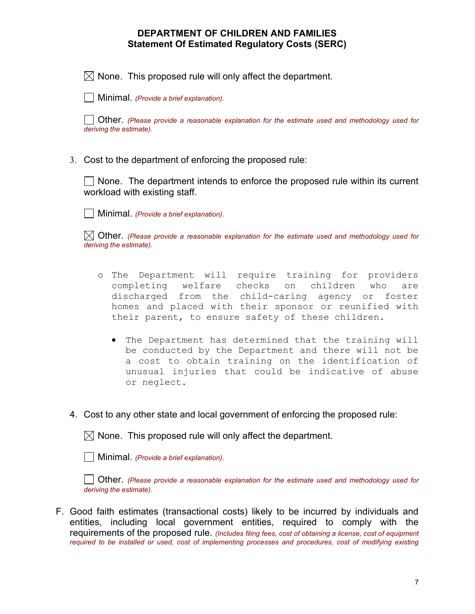$\boxtimes$  None. This proposed rule will only affect the department.

 $\Box$  Minimal. (Provide a brief explanation).

 Other. (Please provide a reasonable explanation for the estimate used and methodology used for deriving the estimate).

3. Cost to the department of enforcing the proposed rule:

 $\Box$  None. The department intends to enforce the proposed rule within its current workload with existing staff.

| Minimal. (Provide a brief explanation).

 $\boxtimes$  Other. (Please provide a reasonable explanation for the estimate used and methodology used for deriving the estimate).

- o The Department will require training for providers completing welfare checks on children who are discharged from the child-caring agency or foster homes and placed with their sponsor or reunified with their parent, to ensure safety of these children.
	- The Department has determined that the training will be conducted by the Department and there will not be a cost to obtain training on the identification of unusual injuries that could be indicative of abuse or neglect.
- 4. Cost to any other state and local government of enforcing the proposed rule:

 $\boxtimes$  None. This proposed rule will only affect the department.

 $\vert$  Minimal. (Provide a brief explanation).

 Other. (Please provide a reasonable explanation for the estimate used and methodology used for deriving the estimate).

F. Good faith estimates (transactional costs) likely to be incurred by individuals and entities, including local government entities, required to comply with the requirements of the proposed rule. (Includes filing fees, cost of obtaining a license, cost of equipment required to be installed or used, cost of implementing processes and procedures, cost of modifying existing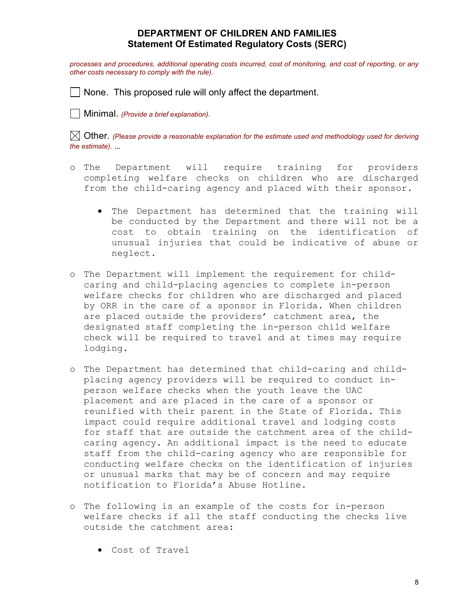processes and procedures, additional operating costs incurred, cost of monitoring, and cost of reporting, or any other costs necessary to comply with the rule).

 $\Box$  None. This proposed rule will only affect the department.

| Minimal. (Provide a brief explanation).

 $\boxtimes$  Other. (Please provide a reasonable explanation for the estimate used and methodology used for deriving the estimate). …

- o The Department will require training for providers completing welfare checks on children who are discharged from the child-caring agency and placed with their sponsor.
	- The Department has determined that the training will be conducted by the Department and there will not be a cost to obtain training on the identification of unusual injuries that could be indicative of abuse or neglect.
- o The Department will implement the requirement for childcaring and child-placing agencies to complete in-person welfare checks for children who are discharged and placed by ORR in the care of a sponsor in Florida. When children are placed outside the providers' catchment area, the designated staff completing the in-person child welfare check will be required to travel and at times may require lodging.
- o The Department has determined that child-caring and childplacing agency providers will be required to conduct inperson welfare checks when the youth leave the UAC placement and are placed in the care of a sponsor or reunified with their parent in the State of Florida. This impact could require additional travel and lodging costs for staff that are outside the catchment area of the childcaring agency. An additional impact is the need to educate staff from the child-caring agency who are responsible for conducting welfare checks on the identification of injuries or unusual marks that may be of concern and may require notification to Florida's Abuse Hotline.
- o The following is an example of the costs for in-person welfare checks if all the staff conducting the checks live outside the catchment area:
	- Cost of Travel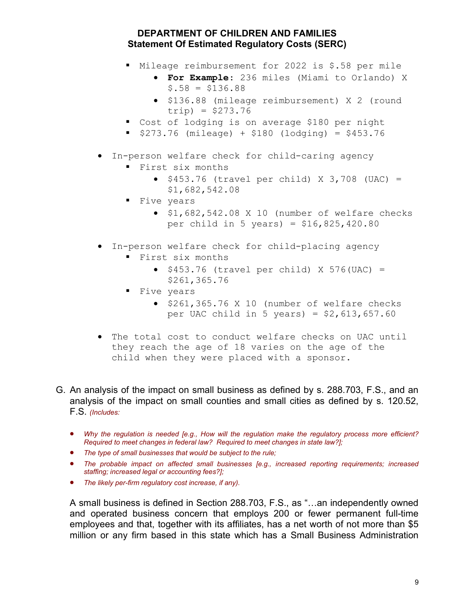- Mileage reimbursement for 2022 is \$.58 per mile
	- **For Example:** 236 miles (Miami to Orlando) X  $$.58 = $136.88$
	- \$136.88 (mileage reimbursement) X 2 (round trip) = \$273.76
- Cost of lodging is on average \$180 per night
- $\bullet$  \$273.76 (mileage) + \$180 (lodging) = \$453.76
- In-person welfare check for child-caring agency
	- First six months
		- $\bullet$  \$453.76 (travel per child) X 3,708 (UAC) = \$1,682,542.08
	- **Five years** 
		- $\bullet$  \$1,682,542.08 X 10 (number of welfare checks per child in 5 years) = \$16,825,420.80
- In-person welfare check for child-placing agency
	- First six months
		- $\bullet$  \$453.76 (travel per child) X 576(UAC) = \$261,365.76
	- **Five years** 
		- $\bullet$  \$261,365.76 X 10 (number of welfare checks per UAC child in 5 years) =  $$2,613,657.60$
- The total cost to conduct welfare checks on UAC until they reach the age of 18 varies on the age of the child when they were placed with a sponsor.
- G. An analysis of the impact on small business as defined by s. 288.703, F.S., and an analysis of the impact on small counties and small cities as defined by s. 120.52, F.S. (Includes:
	- Why the regulation is needed [e.g., How will the regulation make the regulatory process more efficient? Required to meet changes in federal law? Required to meet changes in state law?];
	- The type of small businesses that would be subject to the rule;
	- The probable impact on affected small businesses [e.g., increased reporting requirements; increased staffing; increased legal or accounting fees?];
	- The likely per-firm regulatory cost increase, if any).

A small business is defined in Section 288.703, F.S., as "…an independently owned and operated business concern that employs 200 or fewer permanent full-time employees and that, together with its affiliates, has a net worth of not more than \$5 million or any firm based in this state which has a Small Business Administration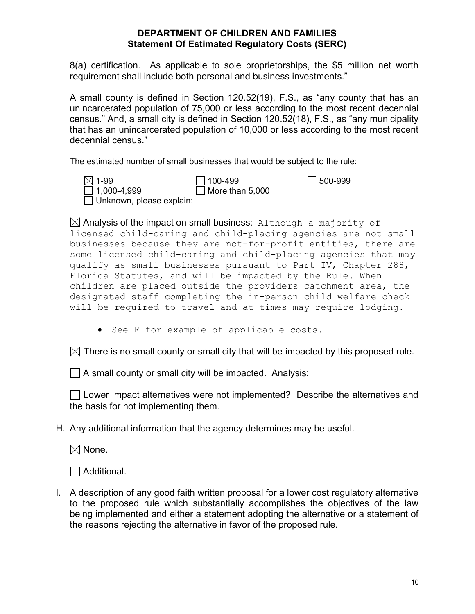8(a) certification. As applicable to sole proprietorships, the \$5 million net worth requirement shall include both personal and business investments."

A small county is defined in Section 120.52(19), F.S., as "any county that has an unincarcerated population of 75,000 or less according to the most recent decennial census." And, a small city is defined in Section 120.52(18), F.S., as "any municipality that has an unincarcerated population of 10,000 or less according to the most recent decennial census."

The estimated number of small businesses that would be subject to the rule:

| $\boxtimes$ 1-99                | $\Box$ 100-499         | $\Box$ 500-999 |
|---------------------------------|------------------------|----------------|
| $\Box$ 1,000-4,999              | $\Box$ More than 5,000 |                |
| $\Box$ Unknown, please explain: |                        |                |

 $\boxtimes$  Analysis of the impact on small business: Although a majority of licensed child-caring and child-placing agencies are not small businesses because they are not-for-profit entities, there are some licensed child-caring and child-placing agencies that may qualify as small businesses pursuant to Part IV, Chapter 288, Florida Statutes, and will be impacted by the Rule. When children are placed outside the providers catchment area, the designated staff completing the in-person child welfare check will be required to travel and at times may require lodging.

See F for example of applicable costs.

 $\boxtimes$  There is no small county or small city that will be impacted by this proposed rule.

 $\Box$  A small county or small city will be impacted. Analysis:

L Lower impact alternatives were not implemented? Describe the alternatives and the basis for not implementing them.

H. Any additional information that the agency determines may be useful.

 $\boxtimes$  None.

 $\Box$  Additional.

I. A description of any good faith written proposal for a lower cost regulatory alternative to the proposed rule which substantially accomplishes the objectives of the law being implemented and either a statement adopting the alternative or a statement of the reasons rejecting the alternative in favor of the proposed rule.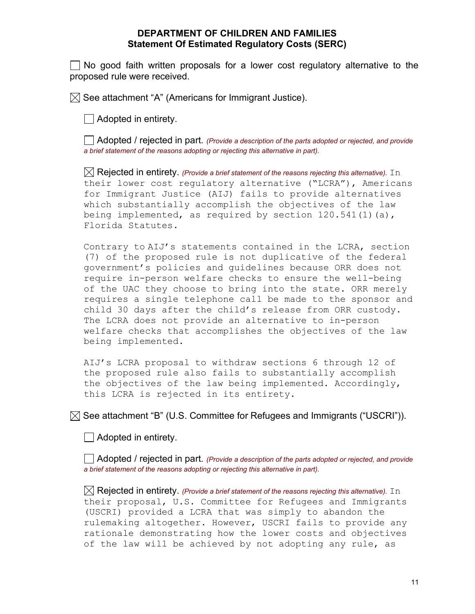No good faith written proposals for a lower cost regulatory alternative to the proposed rule were received.

 $\boxtimes$  See attachment "A" (Americans for Immigrant Justice).

Adopted in entirety.

 $\Box$  Adopted / rejected in part. (Provide a description of the parts adopted or rejected, and provide a brief statement of the reasons adopting or rejecting this alternative in part).

 $\boxtimes$  Rejected in entirety. (Provide a brief statement of the reasons rejecting this alternative). In their lower cost regulatory alternative ("LCRA"), Americans for Immigrant Justice (AIJ) fails to provide alternatives which substantially accomplish the objectives of the law being implemented, as required by section  $120.541(1)(a)$ , Florida Statutes.

 Contrary to AIJ's statements contained in the LCRA, section (7) of the proposed rule is not duplicative of the federal government's policies and guidelines because ORR does not require in-person welfare checks to ensure the well-being of the UAC they choose to bring into the state. ORR merely requires a single telephone call be made to the sponsor and child 30 days after the child's release from ORR custody. The LCRA does not provide an alternative to in-person welfare checks that accomplishes the objectives of the law being implemented.

 AIJ's LCRA proposal to withdraw sections 6 through 12 of the proposed rule also fails to substantially accomplish the objectives of the law being implemented. Accordingly, this LCRA is rejected in its entirety.

 $\boxtimes$  See attachment "B" (U.S. Committee for Refugees and Immigrants ("USCRI")).

 $\vert \ \vert$  Adopted in entirety.

 $\vert$   $\vert$  Adopted / rejected in part. (Provide a description of the parts adopted or rejected, and provide a brief statement of the reasons adopting or rejecting this alternative in part).

 $\boxtimes$  Rejected in entirety. (Provide a brief statement of the reasons rejecting this alternative). In their proposal, U.S. Committee for Refugees and Immigrants (USCRI) provided a LCRA that was simply to abandon the rulemaking altogether. However, USCRI fails to provide any rationale demonstrating how the lower costs and objectives of the law will be achieved by not adopting any rule, as